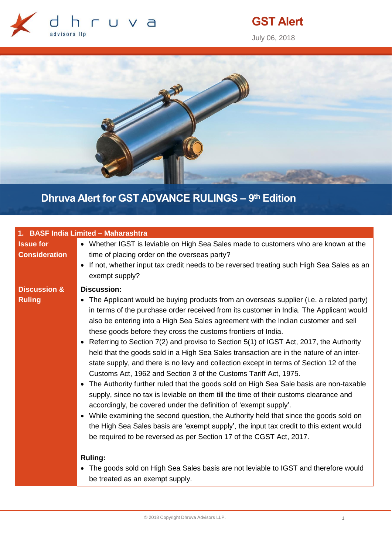

# **GST Alert**

July 06, 2018



# **Dhruva Alert for GST ADVANCE RULINGS – 9 th Edition**

| 1. BASF India Limited - Maharashtra      |                                                                                                                                                                                                                                                                                                                                                                                                                                                                                                                                                                                                                                                                                                                                                                                                                                                                                                                                                                                                                                                                                                                                                                                                                                  |  |
|------------------------------------------|----------------------------------------------------------------------------------------------------------------------------------------------------------------------------------------------------------------------------------------------------------------------------------------------------------------------------------------------------------------------------------------------------------------------------------------------------------------------------------------------------------------------------------------------------------------------------------------------------------------------------------------------------------------------------------------------------------------------------------------------------------------------------------------------------------------------------------------------------------------------------------------------------------------------------------------------------------------------------------------------------------------------------------------------------------------------------------------------------------------------------------------------------------------------------------------------------------------------------------|--|
| <b>Issue for</b><br><b>Consideration</b> | • Whether IGST is leviable on High Sea Sales made to customers who are known at the<br>time of placing order on the overseas party?<br>• If not, whether input tax credit needs to be reversed treating such High Sea Sales as an<br>exempt supply?                                                                                                                                                                                                                                                                                                                                                                                                                                                                                                                                                                                                                                                                                                                                                                                                                                                                                                                                                                              |  |
| <b>Discussion &amp;</b>                  | <b>Discussion:</b>                                                                                                                                                                                                                                                                                                                                                                                                                                                                                                                                                                                                                                                                                                                                                                                                                                                                                                                                                                                                                                                                                                                                                                                                               |  |
| <b>Ruling</b>                            | • The Applicant would be buying products from an overseas supplier (i.e. a related party)<br>in terms of the purchase order received from its customer in India. The Applicant would<br>also be entering into a High Sea Sales agreement with the Indian customer and sell<br>these goods before they cross the customs frontiers of India.<br>• Referring to Section 7(2) and proviso to Section 5(1) of IGST Act, 2017, the Authority<br>held that the goods sold in a High Sea Sales transaction are in the nature of an inter-<br>state supply, and there is no levy and collection except in terms of Section 12 of the<br>Customs Act, 1962 and Section 3 of the Customs Tariff Act, 1975.<br>The Authority further ruled that the goods sold on High Sea Sale basis are non-taxable<br>$\bullet$<br>supply, since no tax is leviable on them till the time of their customs clearance and<br>accordingly, be covered under the definition of 'exempt supply'.<br>• While examining the second question, the Authority held that since the goods sold on<br>the High Sea Sales basis are 'exempt supply', the input tax credit to this extent would<br>be required to be reversed as per Section 17 of the CGST Act, 2017. |  |
|                                          | <b>Ruling:</b><br>• The goods sold on High Sea Sales basis are not leviable to IGST and therefore would<br>be treated as an exempt supply.                                                                                                                                                                                                                                                                                                                                                                                                                                                                                                                                                                                                                                                                                                                                                                                                                                                                                                                                                                                                                                                                                       |  |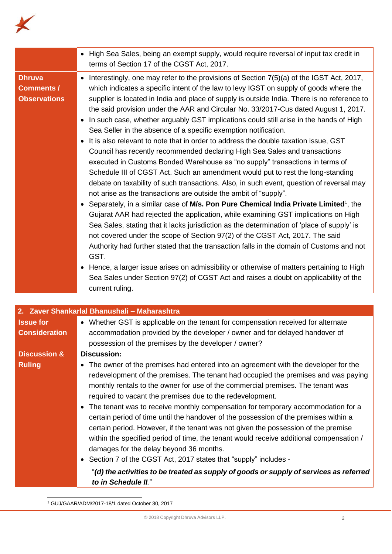

|                                                           | • High Sea Sales, being an exempt supply, would require reversal of input tax credit in<br>terms of Section 17 of the CGST Act, 2017.                                                                                                                                                                                                                                                                                                                                                                                                                                                                                                                                                                                                                                                                                                                                                                                                                                                                                                                                                                                                                                                                                                                                                                                                                                                                                                                                                                                                                                                                                                                                                                                                      |
|-----------------------------------------------------------|--------------------------------------------------------------------------------------------------------------------------------------------------------------------------------------------------------------------------------------------------------------------------------------------------------------------------------------------------------------------------------------------------------------------------------------------------------------------------------------------------------------------------------------------------------------------------------------------------------------------------------------------------------------------------------------------------------------------------------------------------------------------------------------------------------------------------------------------------------------------------------------------------------------------------------------------------------------------------------------------------------------------------------------------------------------------------------------------------------------------------------------------------------------------------------------------------------------------------------------------------------------------------------------------------------------------------------------------------------------------------------------------------------------------------------------------------------------------------------------------------------------------------------------------------------------------------------------------------------------------------------------------------------------------------------------------------------------------------------------------|
| <b>Dhruva</b><br><b>Comments /</b><br><b>Observations</b> | • Interestingly, one may refer to the provisions of Section 7(5)(a) of the IGST Act, 2017,<br>which indicates a specific intent of the law to levy IGST on supply of goods where the<br>supplier is located in India and place of supply is outside India. There is no reference to<br>the said provision under the AAR and Circular No. 33/2017-Cus dated August 1, 2017.<br>• In such case, whether arguably GST implications could still arise in the hands of High<br>Sea Seller in the absence of a specific exemption notification.<br>• It is also relevant to note that in order to address the double taxation issue, GST<br>Council has recently recommended declaring High Sea Sales and transactions<br>executed in Customs Bonded Warehouse as "no supply" transactions in terms of<br>Schedule III of CGST Act. Such an amendment would put to rest the long-standing<br>debate on taxability of such transactions. Also, in such event, question of reversal may<br>not arise as the transactions are outside the ambit of "supply".<br>• Separately, in a similar case of M/s. Pon Pure Chemical India Private Limited <sup>1</sup> , the<br>Gujarat AAR had rejected the application, while examining GST implications on High<br>Sea Sales, stating that it lacks jurisdiction as the determination of 'place of supply' is<br>not covered under the scope of Section 97(2) of the CGST Act, 2017. The said<br>Authority had further stated that the transaction falls in the domain of Customs and not<br>GST.<br>• Hence, a larger issue arises on admissibility or otherwise of matters pertaining to High<br>Sea Sales under Section 97(2) of CGST Act and raises a doubt on applicability of the<br>current ruling. |

| 2. Zaver Shankarlal Bhanushali - Maharashtra |                                                                                                                                                                                                                                                                                                                                                                                                                                                                                                                                                                                                                                                                                                                                                                                                                                                                                                                            |  |
|----------------------------------------------|----------------------------------------------------------------------------------------------------------------------------------------------------------------------------------------------------------------------------------------------------------------------------------------------------------------------------------------------------------------------------------------------------------------------------------------------------------------------------------------------------------------------------------------------------------------------------------------------------------------------------------------------------------------------------------------------------------------------------------------------------------------------------------------------------------------------------------------------------------------------------------------------------------------------------|--|
| <b>Issue for</b>                             | • Whether GST is applicable on the tenant for compensation received for alternate                                                                                                                                                                                                                                                                                                                                                                                                                                                                                                                                                                                                                                                                                                                                                                                                                                          |  |
| <b>Consideration</b>                         | accommodation provided by the developer / owner and for delayed handover of                                                                                                                                                                                                                                                                                                                                                                                                                                                                                                                                                                                                                                                                                                                                                                                                                                                |  |
|                                              | possession of the premises by the developer / owner?                                                                                                                                                                                                                                                                                                                                                                                                                                                                                                                                                                                                                                                                                                                                                                                                                                                                       |  |
| <b>Discussion &amp;</b>                      | Discussion:                                                                                                                                                                                                                                                                                                                                                                                                                                                                                                                                                                                                                                                                                                                                                                                                                                                                                                                |  |
| <b>Ruling</b>                                | • The owner of the premises had entered into an agreement with the developer for the<br>redevelopment of the premises. The tenant had occupied the premises and was paying<br>monthly rentals to the owner for use of the commercial premises. The tenant was<br>required to vacant the premises due to the redevelopment.<br>• The tenant was to receive monthly compensation for temporary accommodation for a<br>certain period of time until the handover of the possession of the premises within a<br>certain period. However, if the tenant was not given the possession of the premise<br>within the specified period of time, the tenant would receive additional compensation /<br>damages for the delay beyond 36 months.<br>• Section 7 of the CGST Act, 2017 states that "supply" includes -<br>"(d) the activities to be treated as supply of goods or supply of services as referred<br>to in Schedule II." |  |

<sup>1</sup> GUJ/GAAR/ADM/2017-18/1 dated October 30, 2017

-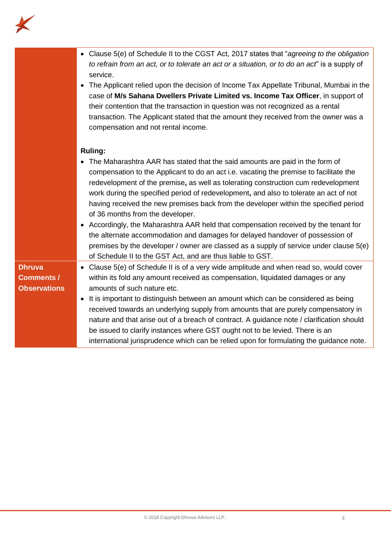

|                     | • Clause 5(e) of Schedule II to the CGST Act, 2017 states that "agreeing to the obligation<br>to refrain from an act, or to tolerate an act or a situation, or to do an act" is a supply of<br>service.<br>The Applicant relied upon the decision of Income Tax Appellate Tribunal, Mumbai in the<br>$\bullet$<br>case of M/s Sahana Dwellers Private Limited vs. Income Tax Officer, in support of<br>their contention that the transaction in question was not recognized as a rental<br>transaction. The Applicant stated that the amount they received from the owner was a<br>compensation and not rental income.                                                                                                                                                                                                               |
|---------------------|--------------------------------------------------------------------------------------------------------------------------------------------------------------------------------------------------------------------------------------------------------------------------------------------------------------------------------------------------------------------------------------------------------------------------------------------------------------------------------------------------------------------------------------------------------------------------------------------------------------------------------------------------------------------------------------------------------------------------------------------------------------------------------------------------------------------------------------|
|                     | <b>Ruling:</b><br>The Maharashtra AAR has stated that the said amounts are paid in the form of<br>compensation to the Applicant to do an act i.e. vacating the premise to facilitate the<br>redevelopment of the premise, as well as tolerating construction cum redevelopment<br>work during the specified period of redevelopment, and also to tolerate an act of not<br>having received the new premises back from the developer within the specified period<br>of 36 months from the developer.<br>• Accordingly, the Maharashtra AAR held that compensation received by the tenant for<br>the alternate accommodation and damages for delayed handover of possession of<br>premises by the developer / owner are classed as a supply of service under clause 5(e)<br>of Schedule II to the GST Act, and are thus liable to GST. |
| <b>Dhruva</b>       | • Clause 5(e) of Schedule II is of a very wide amplitude and when read so, would cover                                                                                                                                                                                                                                                                                                                                                                                                                                                                                                                                                                                                                                                                                                                                               |
| <b>Comments /</b>   | within its fold any amount received as compensation, liquidated damages or any                                                                                                                                                                                                                                                                                                                                                                                                                                                                                                                                                                                                                                                                                                                                                       |
| <b>Observations</b> | amounts of such nature etc.                                                                                                                                                                                                                                                                                                                                                                                                                                                                                                                                                                                                                                                                                                                                                                                                          |
|                     | It is important to distinguish between an amount which can be considered as being<br>$\bullet$                                                                                                                                                                                                                                                                                                                                                                                                                                                                                                                                                                                                                                                                                                                                       |
|                     | received towards an underlying supply from amounts that are purely compensatory in                                                                                                                                                                                                                                                                                                                                                                                                                                                                                                                                                                                                                                                                                                                                                   |
|                     | nature and that arise out of a breach of contract. A guidance note / clarification should                                                                                                                                                                                                                                                                                                                                                                                                                                                                                                                                                                                                                                                                                                                                            |
|                     | be issued to clarify instances where GST ought not to be levied. There is an                                                                                                                                                                                                                                                                                                                                                                                                                                                                                                                                                                                                                                                                                                                                                         |
|                     | international jurisprudence which can be relied upon for formulating the guidance note.                                                                                                                                                                                                                                                                                                                                                                                                                                                                                                                                                                                                                                                                                                                                              |